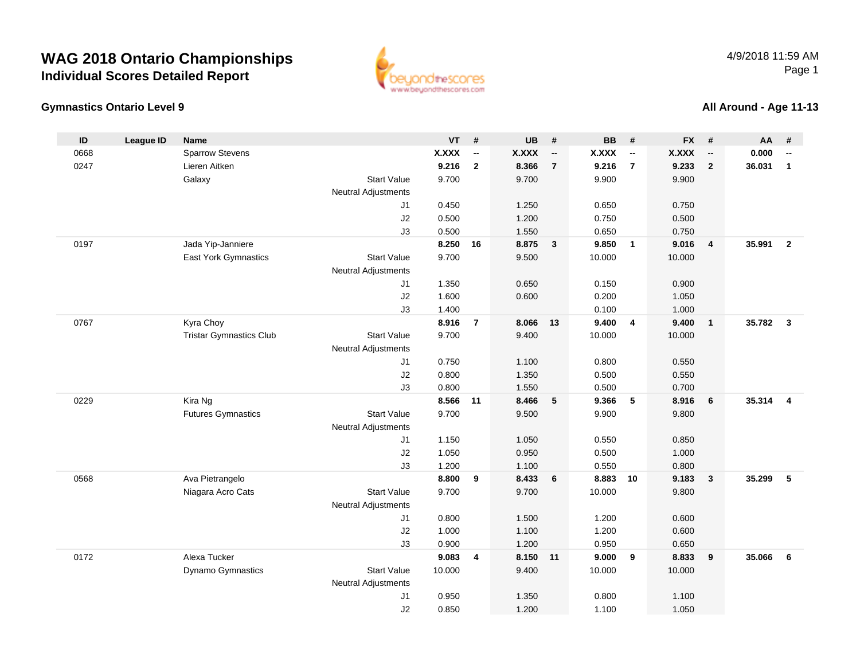

ww.beyondthescores.com

#### **All Around - Age 11-13**

| ID   | <b>League ID</b> | <b>Name</b>                    |                            | <b>VT</b>    | #                        | <b>UB</b>    | #                        | <b>BB</b>    | #                        | <b>FX</b>    | #                        | AA     | #                        |
|------|------------------|--------------------------------|----------------------------|--------------|--------------------------|--------------|--------------------------|--------------|--------------------------|--------------|--------------------------|--------|--------------------------|
| 0668 |                  | <b>Sparrow Stevens</b>         |                            | <b>X.XXX</b> | $\overline{\phantom{a}}$ | <b>X.XXX</b> | $\overline{\phantom{a}}$ | <b>X.XXX</b> | $\overline{\phantom{a}}$ | <b>X.XXX</b> | $\overline{\phantom{a}}$ | 0.000  | $\overline{\phantom{a}}$ |
| 0247 |                  | Lieren Aitken                  |                            | 9.216        | $\mathbf{2}$             | 8.366        | $\overline{7}$           | 9.216        | $\overline{7}$           | 9.233        | $\mathbf{2}$             | 36.031 | $\mathbf{1}$             |
|      |                  | Galaxy                         | <b>Start Value</b>         | 9.700        |                          | 9.700        |                          | 9.900        |                          | 9.900        |                          |        |                          |
|      |                  |                                | <b>Neutral Adjustments</b> |              |                          |              |                          |              |                          |              |                          |        |                          |
|      |                  |                                | J1                         | 0.450        |                          | 1.250        |                          | 0.650        |                          | 0.750        |                          |        |                          |
|      |                  |                                | J2                         | 0.500        |                          | 1.200        |                          | 0.750        |                          | 0.500        |                          |        |                          |
|      |                  |                                | J3                         | 0.500        |                          | 1.550        |                          | 0.650        |                          | 0.750        |                          |        |                          |
| 0197 |                  | Jada Yip-Janniere              |                            | 8.250        | 16                       | 8.875        | $\overline{\mathbf{3}}$  | 9.850        | $\overline{1}$           | 9.016        | $\overline{4}$           | 35.991 | $\overline{2}$           |
|      |                  | East York Gymnastics           | <b>Start Value</b>         | 9.700        |                          | 9.500        |                          | 10.000       |                          | 10.000       |                          |        |                          |
|      |                  |                                | <b>Neutral Adjustments</b> |              |                          |              |                          |              |                          |              |                          |        |                          |
|      |                  |                                | J1                         | 1.350        |                          | 0.650        |                          | 0.150        |                          | 0.900        |                          |        |                          |
|      |                  |                                | J2                         | 1.600        |                          | 0.600        |                          | 0.200        |                          | 1.050        |                          |        |                          |
|      |                  |                                | J3                         | 1.400        |                          |              |                          | 0.100        |                          | 1.000        |                          |        |                          |
| 0767 |                  | Kyra Choy                      |                            | 8.916        | $\overline{7}$           | 8.066        | 13                       | 9.400        | $\overline{4}$           | 9.400        | $\overline{1}$           | 35.782 | $\mathbf{3}$             |
|      |                  | <b>Tristar Gymnastics Club</b> | <b>Start Value</b>         | 9.700        |                          | 9.400        |                          | 10.000       |                          | 10.000       |                          |        |                          |
|      |                  |                                | <b>Neutral Adjustments</b> |              |                          |              |                          |              |                          |              |                          |        |                          |
|      |                  |                                | J1                         | 0.750        |                          | 1.100        |                          | 0.800        |                          | 0.550        |                          |        |                          |
|      |                  |                                | J2                         | 0.800        |                          | 1.350        |                          | 0.500        |                          | 0.550        |                          |        |                          |
|      |                  |                                | J3                         | 0.800        |                          | 1.550        |                          | 0.500        |                          | 0.700        |                          |        |                          |
| 0229 |                  | Kira Ng                        |                            | 8.566        | 11                       | 8.466        | 5                        | 9.366        | $\sqrt{5}$               | 8.916        | 6                        | 35.314 | $\overline{4}$           |
|      |                  | <b>Futures Gymnastics</b>      | <b>Start Value</b>         | 9.700        |                          | 9.500        |                          | 9.900        |                          | 9.800        |                          |        |                          |
|      |                  |                                | <b>Neutral Adjustments</b> |              |                          |              |                          |              |                          |              |                          |        |                          |
|      |                  |                                | J <sub>1</sub>             | 1.150        |                          | 1.050        |                          | 0.550        |                          | 0.850        |                          |        |                          |
|      |                  |                                | J2                         | 1.050        |                          | 0.950        |                          | 0.500        |                          | 1.000        |                          |        |                          |
|      |                  |                                | J3                         | 1.200        |                          | 1.100        |                          | 0.550        |                          | 0.800        |                          |        |                          |
| 0568 |                  | Ava Pietrangelo                |                            | 8.800        | 9                        | 8.433        | 6                        | 8.883        | 10                       | 9.183        | $\mathbf{3}$             | 35.299 | 5                        |
|      |                  | Niagara Acro Cats              | <b>Start Value</b>         | 9.700        |                          | 9.700        |                          | 10.000       |                          | 9.800        |                          |        |                          |
|      |                  |                                | <b>Neutral Adjustments</b> |              |                          |              |                          |              |                          |              |                          |        |                          |
|      |                  |                                | J <sub>1</sub>             | 0.800        |                          | 1.500        |                          | 1.200        |                          | 0.600        |                          |        |                          |
|      |                  |                                | J2                         | 1.000        |                          | 1.100        |                          | 1.200        |                          | 0.600        |                          |        |                          |
|      |                  |                                | J3                         | 0.900        |                          | 1.200        |                          | 0.950        |                          | 0.650        |                          |        |                          |
| 0172 |                  | Alexa Tucker                   |                            | 9.083        | $\overline{\mathbf{4}}$  | 8.150        | 11                       | 9.000        | 9                        | 8.833        | 9                        | 35.066 | 6                        |
|      |                  | Dynamo Gymnastics              | <b>Start Value</b>         | 10.000       |                          | 9.400        |                          | 10.000       |                          | 10.000       |                          |        |                          |
|      |                  |                                | <b>Neutral Adjustments</b> |              |                          |              |                          |              |                          |              |                          |        |                          |
|      |                  |                                | J1                         | 0.950        |                          | 1.350        |                          | 0.800        |                          | 1.100        |                          |        |                          |
|      |                  |                                | J2                         | 0.850        |                          | 1.200        |                          | 1.100        |                          | 1.050        |                          |        |                          |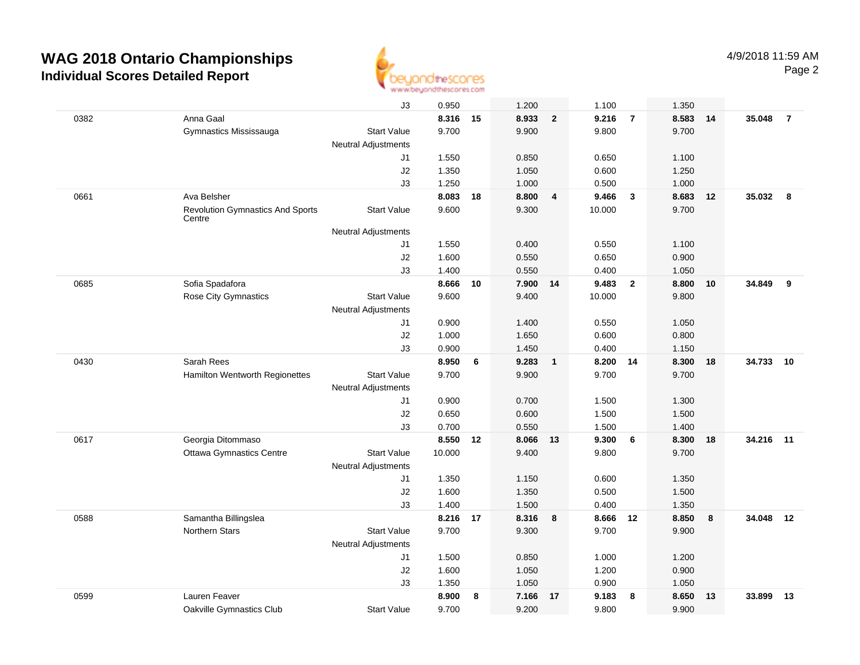

|      |                                                   | JЗ                         | 0.950    |    | 1.200    |                | 1.100  |                | 1.350 |    |        |                |
|------|---------------------------------------------------|----------------------------|----------|----|----------|----------------|--------|----------------|-------|----|--------|----------------|
| 0382 | Anna Gaal                                         |                            | 8.316 15 |    | 8.933    | $\overline{2}$ | 9.216  | $\overline{7}$ | 8.583 | 14 | 35.048 | $\overline{7}$ |
|      | Gymnastics Mississauga                            | <b>Start Value</b>         | 9.700    |    | 9.900    |                | 9.800  |                | 9.700 |    |        |                |
|      |                                                   | <b>Neutral Adjustments</b> |          |    |          |                |        |                |       |    |        |                |
|      |                                                   | J1                         | 1.550    |    | 0.850    |                | 0.650  |                | 1.100 |    |        |                |
|      |                                                   | J2                         | 1.350    |    | 1.050    |                | 0.600  |                | 1.250 |    |        |                |
|      |                                                   | J3                         | 1.250    |    | 1.000    |                | 0.500  |                | 1.000 |    |        |                |
| 0661 | Ava Belsher                                       |                            | 8.083    | 18 | 8.800    | 4              | 9.466  | $\mathbf{3}$   | 8.683 | 12 | 35.032 | - 8            |
|      | <b>Revolution Gymnastics And Sports</b><br>Centre | <b>Start Value</b>         | 9.600    |    | 9.300    |                | 10.000 |                | 9.700 |    |        |                |
|      |                                                   | <b>Neutral Adjustments</b> |          |    |          |                |        |                |       |    |        |                |
|      |                                                   | J1                         | 1.550    |    | 0.400    |                | 0.550  |                | 1.100 |    |        |                |
|      |                                                   | J2                         | 1.600    |    | 0.550    |                | 0.650  |                | 0.900 |    |        |                |
|      |                                                   | J3                         | 1.400    |    | 0.550    |                | 0.400  |                | 1.050 |    |        |                |
| 0685 | Sofia Spadafora                                   |                            | 8.666    | 10 | 7.900 14 |                | 9.483  | $\overline{2}$ | 8.800 | 10 | 34.849 | 9              |
|      | Rose City Gymnastics                              | <b>Start Value</b>         | 9.600    |    | 9.400    |                | 10.000 |                | 9.800 |    |        |                |
|      |                                                   | <b>Neutral Adjustments</b> |          |    |          |                |        |                |       |    |        |                |
|      |                                                   | J1                         | 0.900    |    | 1.400    |                | 0.550  |                | 1.050 |    |        |                |
|      |                                                   | J2                         | 1.000    |    | 1.650    |                | 0.600  |                | 0.800 |    |        |                |
|      |                                                   | J3                         | 0.900    |    | 1.450    |                | 0.400  |                | 1.150 |    |        |                |
| 0430 | Sarah Rees                                        |                            | 8.950    | 6  | 9.283    | $\mathbf{1}$   | 8.200  | -14            | 8.300 | 18 | 34.733 | 10             |
|      | Hamilton Wentworth Regionettes                    | <b>Start Value</b>         | 9.700    |    | 9.900    |                | 9.700  |                | 9.700 |    |        |                |
|      |                                                   | <b>Neutral Adjustments</b> |          |    |          |                |        |                |       |    |        |                |
|      |                                                   | J1                         | 0.900    |    | 0.700    |                | 1.500  |                | 1.300 |    |        |                |
|      |                                                   | J2                         | 0.650    |    | 0.600    |                | 1.500  |                | 1.500 |    |        |                |
|      |                                                   | J3                         | 0.700    |    | 0.550    |                | 1.500  |                | 1.400 |    |        |                |
| 0617 | Georgia Ditommaso                                 |                            | 8.550    | 12 | 8.066 13 |                | 9.300  | 6              | 8.300 | 18 | 34.216 | 11             |
|      | <b>Ottawa Gymnastics Centre</b>                   | <b>Start Value</b>         | 10.000   |    | 9.400    |                | 9.800  |                | 9.700 |    |        |                |
|      |                                                   | <b>Neutral Adjustments</b> |          |    |          |                |        |                |       |    |        |                |
|      |                                                   | J1                         | 1.350    |    | 1.150    |                | 0.600  |                | 1.350 |    |        |                |
|      |                                                   | J2                         | 1.600    |    | 1.350    |                | 0.500  |                | 1.500 |    |        |                |
|      |                                                   | J3                         | 1.400    |    | 1.500    |                | 0.400  |                | 1.350 |    |        |                |
| 0588 | Samantha Billingslea                              |                            | 8.216    | 17 | 8.316    | 8              | 8.666  | 12             | 8.850 | 8  | 34.048 | 12             |
|      | <b>Northern Stars</b>                             | <b>Start Value</b>         | 9.700    |    | 9.300    |                | 9.700  |                | 9.900 |    |        |                |
|      |                                                   | <b>Neutral Adjustments</b> |          |    |          |                |        |                |       |    |        |                |
|      |                                                   | J1                         | 1.500    |    | 0.850    |                | 1.000  |                | 1.200 |    |        |                |
|      |                                                   | J2                         | 1.600    |    | 1.050    |                | 1.200  |                | 0.900 |    |        |                |
|      |                                                   | J3                         | 1.350    |    | 1.050    |                | 0.900  |                | 1.050 |    |        |                |
| 0599 | Lauren Feaver                                     |                            | 8.900    | 8  | 7.166    | 17             | 9.183  | 8              | 8.650 | 13 | 33.899 | 13             |
|      | Oakville Gymnastics Club                          | <b>Start Value</b>         | 9.700    |    | 9.200    |                | 9.800  |                | 9.900 |    |        |                |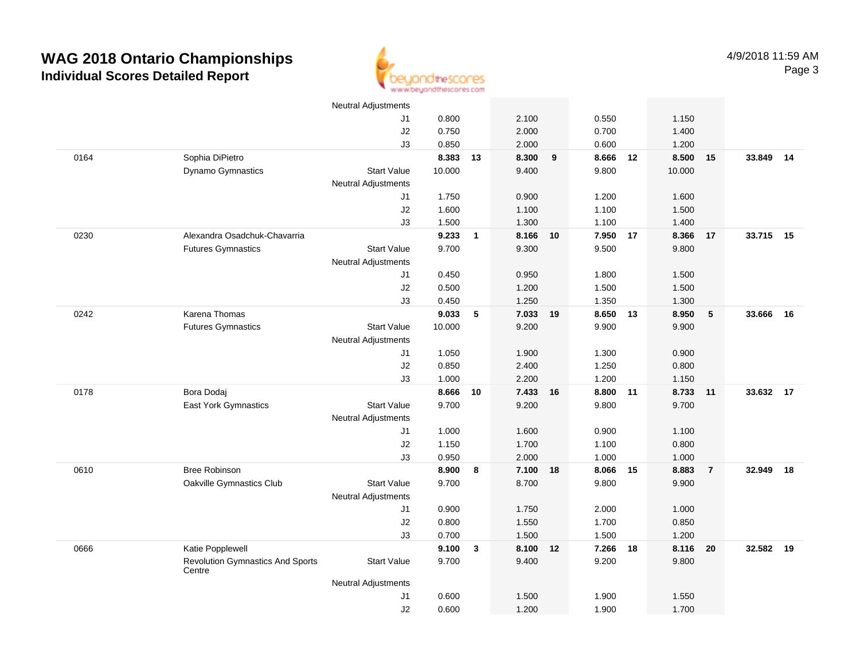

|      |                                                   | <b>Neutral Adjustments</b> |        |              |          |    |          |    |        |                |           |    |
|------|---------------------------------------------------|----------------------------|--------|--------------|----------|----|----------|----|--------|----------------|-----------|----|
|      |                                                   | J1                         | 0.800  |              | 2.100    |    | 0.550    |    | 1.150  |                |           |    |
|      |                                                   | J2                         | 0.750  |              | 2.000    |    | 0.700    |    | 1.400  |                |           |    |
|      |                                                   | J3                         | 0.850  |              | 2.000    |    | 0.600    |    | 1.200  |                |           |    |
| 0164 | Sophia DiPietro                                   |                            | 8.383  | 13           | 8.300    | 9  | 8.666    | 12 | 8.500  | 15             | 33.849    | 14 |
|      | Dynamo Gymnastics                                 | <b>Start Value</b>         | 10.000 |              | 9.400    |    | 9.800    |    | 10.000 |                |           |    |
|      |                                                   | <b>Neutral Adjustments</b> |        |              |          |    |          |    |        |                |           |    |
|      |                                                   | J1                         | 1.750  |              | 0.900    |    | 1.200    |    | 1.600  |                |           |    |
|      |                                                   | J2                         | 1.600  |              | 1.100    |    | 1.100    |    | 1.500  |                |           |    |
|      |                                                   | J3                         | 1.500  |              | 1.300    |    | 1.100    |    | 1.400  |                |           |    |
| 0230 | Alexandra Osadchuk-Chavarria                      |                            | 9.233  | $\mathbf{1}$ | 8.166    | 10 | 7.950 17 |    | 8.366  | 17             | 33.715 15 |    |
|      | <b>Futures Gymnastics</b>                         | <b>Start Value</b>         | 9.700  |              | 9.300    |    | 9.500    |    | 9.800  |                |           |    |
|      |                                                   | <b>Neutral Adjustments</b> |        |              |          |    |          |    |        |                |           |    |
|      |                                                   | J1                         | 0.450  |              | 0.950    |    | 1.800    |    | 1.500  |                |           |    |
|      |                                                   | $\sf J2$                   | 0.500  |              | 1.200    |    | 1.500    |    | 1.500  |                |           |    |
|      |                                                   | J3                         | 0.450  |              | 1.250    |    | 1.350    |    | 1.300  |                |           |    |
| 0242 | Karena Thomas                                     |                            | 9.033  | 5            | 7.033    | 19 | 8.650    | 13 | 8.950  | $\sqrt{5}$     | 33.666    | 16 |
|      | <b>Futures Gymnastics</b>                         | <b>Start Value</b>         | 10.000 |              | 9.200    |    | 9.900    |    | 9.900  |                |           |    |
|      |                                                   | <b>Neutral Adjustments</b> |        |              |          |    |          |    |        |                |           |    |
|      |                                                   | J1                         | 1.050  |              | 1.900    |    | 1.300    |    | 0.900  |                |           |    |
|      |                                                   | J2                         | 0.850  |              | 2.400    |    | 1.250    |    | 0.800  |                |           |    |
|      |                                                   | J3                         | 1.000  |              | 2.200    |    | 1.200    |    | 1.150  |                |           |    |
| 0178 | Bora Dodaj                                        |                            | 8.666  | 10           | 7.433    | 16 | 8.800    | 11 | 8.733  | 11             | 33.632    | 17 |
|      | <b>East York Gymnastics</b>                       | <b>Start Value</b>         | 9.700  |              | 9.200    |    | 9.800    |    | 9.700  |                |           |    |
|      |                                                   | <b>Neutral Adjustments</b> |        |              |          |    |          |    |        |                |           |    |
|      |                                                   | J1                         | 1.000  |              | 1.600    |    | 0.900    |    | 1.100  |                |           |    |
|      |                                                   | J2                         | 1.150  |              | 1.700    |    | 1.100    |    | 0.800  |                |           |    |
|      |                                                   | J3                         | 0.950  |              | 2.000    |    | 1.000    |    | 1.000  |                |           |    |
| 0610 | <b>Bree Robinson</b>                              |                            | 8.900  | 8            | 7.100    | 18 | 8.066    | 15 | 8.883  | $\overline{7}$ | 32.949    | 18 |
|      | Oakville Gymnastics Club                          | <b>Start Value</b>         | 9.700  |              | 8.700    |    | 9.800    |    | 9.900  |                |           |    |
|      |                                                   | <b>Neutral Adjustments</b> |        |              |          |    |          |    |        |                |           |    |
|      |                                                   | J1                         | 0.900  |              | 1.750    |    | 2.000    |    | 1.000  |                |           |    |
|      |                                                   | $\sf J2$                   | 0.800  |              | 1.550    |    | 1.700    |    | 0.850  |                |           |    |
|      |                                                   | J3                         | 0.700  |              | 1.500    |    | 1.500    |    | 1.200  |                |           |    |
| 0666 | Katie Popplewell                                  |                            | 9.100  | $\mathbf{3}$ | 8.100 12 |    | 7.266    | 18 | 8.116  | 20             | 32.582 19 |    |
|      | <b>Revolution Gymnastics And Sports</b><br>Centre | <b>Start Value</b>         | 9.700  |              | 9.400    |    | 9.200    |    | 9.800  |                |           |    |
|      |                                                   | <b>Neutral Adjustments</b> |        |              |          |    |          |    |        |                |           |    |
|      |                                                   | J1                         | 0.600  |              | 1.500    |    | 1.900    |    | 1.550  |                |           |    |
|      |                                                   | J2                         | 0.600  |              | 1.200    |    | 1.900    |    | 1.700  |                |           |    |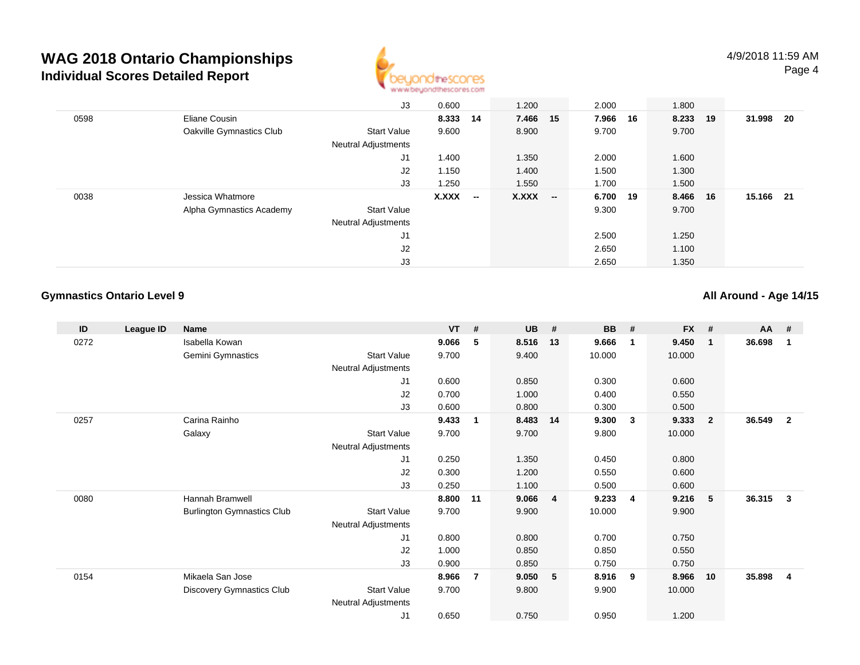

|      |                          | J3                         | 0.600    |                          | 1.200        |                          | 2.000    |    | 1.800 |    |        |     |
|------|--------------------------|----------------------------|----------|--------------------------|--------------|--------------------------|----------|----|-------|----|--------|-----|
| 0598 | Eliane Cousin            |                            | 8.333 14 |                          | 7.466 15     |                          | 7.966    | 16 | 8.233 | 19 | 31.998 | -20 |
|      | Oakville Gymnastics Club | <b>Start Value</b>         | 9.600    |                          | 8.900        |                          | 9.700    |    | 9.700 |    |        |     |
|      |                          | <b>Neutral Adjustments</b> |          |                          |              |                          |          |    |       |    |        |     |
|      |                          | J1                         | 1.400    |                          | 1.350        |                          | 2.000    |    | 1.600 |    |        |     |
|      |                          | J2                         | 1.150    |                          | 1.400        |                          | 1.500    |    | 1.300 |    |        |     |
|      |                          | J3                         | 1.250    |                          | 1.550        |                          | 1.700    |    | 1.500 |    |        |     |
| 0038 | Jessica Whatmore         |                            | X.XXX    | $\overline{\phantom{a}}$ | <b>X.XXX</b> | $\overline{\phantom{a}}$ | 6.700 19 |    | 8.466 | 16 | 15.166 | -21 |
|      | Alpha Gymnastics Academy | <b>Start Value</b>         |          |                          |              |                          | 9.300    |    | 9.700 |    |        |     |
|      |                          | <b>Neutral Adjustments</b> |          |                          |              |                          |          |    |       |    |        |     |
|      |                          | J <sub>1</sub>             |          |                          |              |                          | 2.500    |    | 1.250 |    |        |     |
|      |                          | J <sub>2</sub>             |          |                          |              |                          | 2.650    |    | 1.100 |    |        |     |
|      |                          | J3                         |          |                          |              |                          | 2.650    |    | 1.350 |    |        |     |

#### **Gymnastics Ontario Level 9**

**All Around - Age 14/15**

| ID   | League ID | <b>Name</b>                       |                            | $VT$ # |                | <b>UB</b> | #  | <b>BB</b> | #                       | <b>FX</b> | #              | <b>AA</b> | #              |
|------|-----------|-----------------------------------|----------------------------|--------|----------------|-----------|----|-----------|-------------------------|-----------|----------------|-----------|----------------|
| 0272 |           | Isabella Kowan                    |                            | 9.066  | 5              | 8.516     | 13 | 9.666     | $\overline{\mathbf{1}}$ | 9.450     | $\mathbf{1}$   | 36.698    | 1              |
|      |           | Gemini Gymnastics                 | <b>Start Value</b>         | 9.700  |                | 9.400     |    | 10.000    |                         | 10.000    |                |           |                |
|      |           |                                   | Neutral Adjustments        |        |                |           |    |           |                         |           |                |           |                |
|      |           |                                   | J1                         | 0.600  |                | 0.850     |    | 0.300     |                         | 0.600     |                |           |                |
|      |           |                                   | J2                         | 0.700  |                | 1.000     |    | 0.400     |                         | 0.550     |                |           |                |
|      |           |                                   | J3                         | 0.600  |                | 0.800     |    | 0.300     |                         | 0.500     |                |           |                |
| 0257 |           | Carina Rainho                     |                            | 9.433  | 1              | 8.483     | 14 | 9.300     | $\overline{\mathbf{3}}$ | 9.333     | $\overline{2}$ | 36.549    | $\overline{2}$ |
|      |           | Galaxy                            | <b>Start Value</b>         | 9.700  |                | 9.700     |    | 9.800     |                         | 10.000    |                |           |                |
|      |           |                                   | Neutral Adjustments        |        |                |           |    |           |                         |           |                |           |                |
|      |           |                                   | J1                         | 0.250  |                | 1.350     |    | 0.450     |                         | 0.800     |                |           |                |
|      |           |                                   | J <sub>2</sub>             | 0.300  |                | 1.200     |    | 0.550     |                         | 0.600     |                |           |                |
|      |           |                                   | J3                         | 0.250  |                | 1.100     |    | 0.500     |                         | 0.600     |                |           |                |
| 0080 |           | Hannah Bramwell                   |                            | 8.800  | 11             | 9.066     | 4  | 9.233     | 4                       | 9.216     | 5              | 36.315    | $\mathbf{3}$   |
|      |           | <b>Burlington Gymnastics Club</b> | <b>Start Value</b>         | 9.700  |                | 9.900     |    | 10.000    |                         | 9.900     |                |           |                |
|      |           |                                   | <b>Neutral Adjustments</b> |        |                |           |    |           |                         |           |                |           |                |
|      |           |                                   | J <sub>1</sub>             | 0.800  |                | 0.800     |    | 0.700     |                         | 0.750     |                |           |                |
|      |           |                                   | J2                         | 1.000  |                | 0.850     |    | 0.850     |                         | 0.550     |                |           |                |
|      |           |                                   | J3                         | 0.900  |                | 0.850     |    | 0.750     |                         | 0.750     |                |           |                |
| 0154 |           | Mikaela San Jose                  |                            | 8.966  | $\overline{7}$ | 9.050     | 5  | 8.916     | 9                       | 8.966     | 10             | 35.898    | 4              |
|      |           | <b>Discovery Gymnastics Club</b>  | <b>Start Value</b>         | 9.700  |                | 9.800     |    | 9.900     |                         | 10.000    |                |           |                |
|      |           |                                   | <b>Neutral Adjustments</b> |        |                |           |    |           |                         |           |                |           |                |
|      |           |                                   | J <sub>1</sub>             | 0.650  |                | 0.750     |    | 0.950     |                         | 1.200     |                |           |                |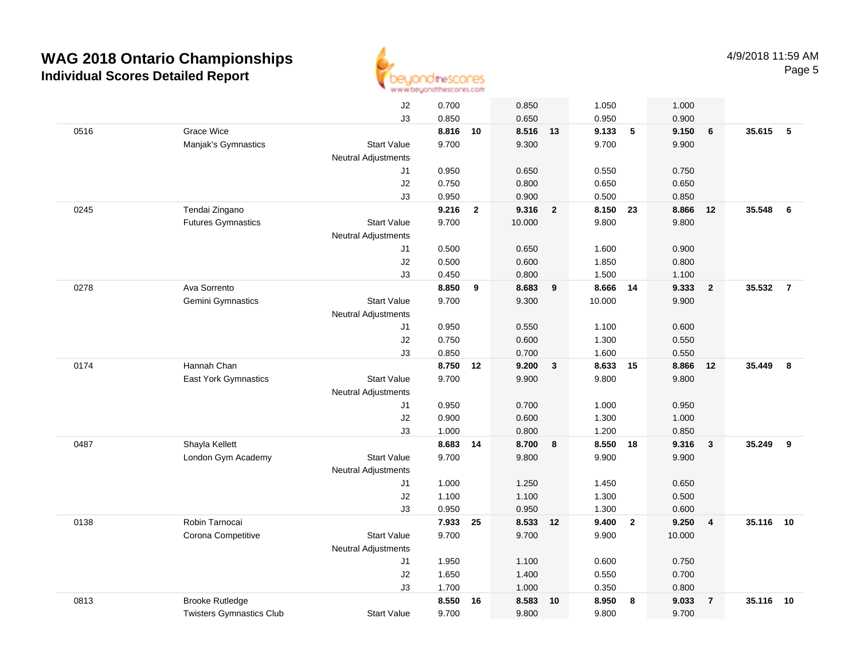

|      |                                 | J2                         | 0.700 |              | 0.850    |                | 1.050    |                         | 1.000  |                         |          |                |
|------|---------------------------------|----------------------------|-------|--------------|----------|----------------|----------|-------------------------|--------|-------------------------|----------|----------------|
|      |                                 | J3                         | 0.850 |              | 0.650    |                | 0.950    |                         | 0.900  |                         |          |                |
| 0516 | Grace Wice                      |                            | 8.816 | 10           | 8.516 13 |                | 9.133    | 5                       | 9.150  | 6                       | 35.615 5 |                |
|      | Manjak's Gymnastics             | <b>Start Value</b>         | 9.700 |              | 9.300    |                | 9.700    |                         | 9.900  |                         |          |                |
|      |                                 | <b>Neutral Adjustments</b> |       |              |          |                |          |                         |        |                         |          |                |
|      |                                 | J1                         | 0.950 |              | 0.650    |                | 0.550    |                         | 0.750  |                         |          |                |
|      |                                 | J2                         | 0.750 |              | 0.800    |                | 0.650    |                         | 0.650  |                         |          |                |
|      |                                 | J3                         | 0.950 |              | 0.900    |                | 0.500    |                         | 0.850  |                         |          |                |
| 0245 | Tendai Zingano                  |                            | 9.216 | $\mathbf{2}$ | 9.316    | $\overline{2}$ | 8.150    | 23                      | 8.866  | 12                      | 35.548   | 6              |
|      | <b>Futures Gymnastics</b>       | <b>Start Value</b>         | 9.700 |              | 10.000   |                | 9.800    |                         | 9.800  |                         |          |                |
|      |                                 | Neutral Adjustments        |       |              |          |                |          |                         |        |                         |          |                |
|      |                                 | J1                         | 0.500 |              | 0.650    |                | 1.600    |                         | 0.900  |                         |          |                |
|      |                                 | J2                         | 0.500 |              | 0.600    |                | 1.850    |                         | 0.800  |                         |          |                |
|      |                                 | J3                         | 0.450 |              | 0.800    |                | 1.500    |                         | 1.100  |                         |          |                |
| 0278 | Ava Sorrento                    |                            | 8.850 | 9            | 8.683    | 9              | 8.666 14 |                         | 9.333  | $\overline{2}$          | 35.532   | $\overline{7}$ |
|      | Gemini Gymnastics               | <b>Start Value</b>         | 9.700 |              | 9.300    |                | 10.000   |                         | 9.900  |                         |          |                |
|      |                                 | <b>Neutral Adjustments</b> |       |              |          |                |          |                         |        |                         |          |                |
|      |                                 | J1                         | 0.950 |              | 0.550    |                | 1.100    |                         | 0.600  |                         |          |                |
|      |                                 | J2                         | 0.750 |              | 0.600    |                | 1.300    |                         | 0.550  |                         |          |                |
|      |                                 | J3                         | 0.850 |              | 0.700    |                | 1.600    |                         | 0.550  |                         |          |                |
| 0174 | Hannah Chan                     |                            | 8.750 | 12           | 9.200    | 3              | 8.633    | 15                      | 8.866  | 12                      | 35.449   | 8              |
|      | East York Gymnastics            | <b>Start Value</b>         | 9.700 |              | 9.900    |                | 9.800    |                         | 9.800  |                         |          |                |
|      |                                 | <b>Neutral Adjustments</b> |       |              |          |                |          |                         |        |                         |          |                |
|      |                                 | J1                         | 0.950 |              | 0.700    |                | 1.000    |                         | 0.950  |                         |          |                |
|      |                                 | J2                         | 0.900 |              | 0.600    |                | 1.300    |                         | 1.000  |                         |          |                |
|      |                                 | J3                         | 1.000 |              | 0.800    |                | 1.200    |                         | 0.850  |                         |          |                |
| 0487 | Shayla Kellett                  |                            | 8.683 | 14           | 8.700    | 8              | 8.550    | 18                      | 9.316  | $\overline{\mathbf{3}}$ | 35.249   | 9              |
|      | London Gym Academy              | <b>Start Value</b>         | 9.700 |              | 9.800    |                | 9.900    |                         | 9.900  |                         |          |                |
|      |                                 | <b>Neutral Adjustments</b> |       |              |          |                |          |                         |        |                         |          |                |
|      |                                 | J1                         | 1.000 |              | 1.250    |                | 1.450    |                         | 0.650  |                         |          |                |
|      |                                 | $\sf J2$                   | 1.100 |              | 1.100    |                | 1.300    |                         | 0.500  |                         |          |                |
|      |                                 | J3                         | 0.950 |              | 0.950    |                | 1.300    |                         | 0.600  |                         |          |                |
| 0138 | Robin Tarnocai                  |                            | 7.933 | 25           | 8.533 12 |                | 9.400    | $\overline{\mathbf{2}}$ | 9.250  | $\overline{4}$          | 35.116   | 10             |
|      | Corona Competitive              | <b>Start Value</b>         | 9.700 |              | 9.700    |                | 9.900    |                         | 10.000 |                         |          |                |
|      |                                 | <b>Neutral Adjustments</b> |       |              |          |                |          |                         |        |                         |          |                |
|      |                                 | J1                         | 1.950 |              | 1.100    |                | 0.600    |                         | 0.750  |                         |          |                |
|      |                                 | J2                         | 1.650 |              | 1.400    |                | 0.550    |                         | 0.700  |                         |          |                |
|      |                                 | J3                         | 1.700 |              | 1.000    |                | 0.350    |                         | 0.800  |                         |          |                |
| 0813 | <b>Brooke Rutledge</b>          |                            | 8.550 | 16           | 8.583    | 10             | 8.950    | - 8                     | 9.033  | $\overline{7}$          | 35.116   | 10             |
|      | <b>Twisters Gymnastics Club</b> | <b>Start Value</b>         | 9.700 |              | 9.800    |                | 9.800    |                         | 9.700  |                         |          |                |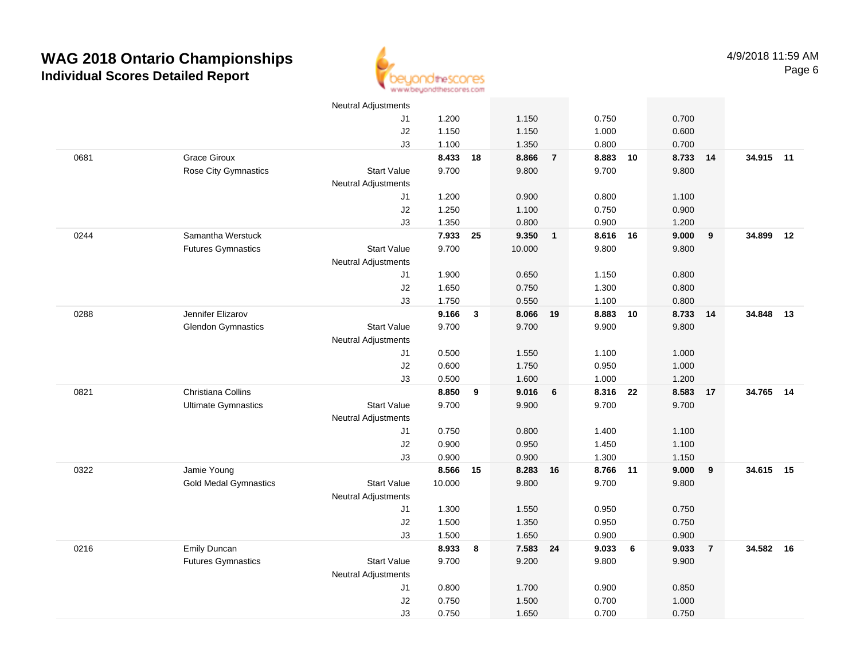

|      |                              | <b>Neutral Adjustments</b> |        |              |          |                         |          |    |       |                |           |    |
|------|------------------------------|----------------------------|--------|--------------|----------|-------------------------|----------|----|-------|----------------|-----------|----|
|      |                              | J1                         | 1.200  |              | 1.150    |                         | 0.750    |    | 0.700 |                |           |    |
|      |                              | J2                         | 1.150  |              | 1.150    |                         | 1.000    |    | 0.600 |                |           |    |
|      |                              | J3                         | 1.100  |              | 1.350    |                         | 0.800    |    | 0.700 |                |           |    |
| 0681 | <b>Grace Giroux</b>          |                            | 8.433  | 18           | 8.866    | $\overline{7}$          | 8.883    | 10 | 8.733 | 14             | 34.915 11 |    |
|      | Rose City Gymnastics         | <b>Start Value</b>         | 9.700  |              | 9.800    |                         | 9.700    |    | 9.800 |                |           |    |
|      |                              | <b>Neutral Adjustments</b> |        |              |          |                         |          |    |       |                |           |    |
|      |                              | J1                         | 1.200  |              | 0.900    |                         | 0.800    |    | 1.100 |                |           |    |
|      |                              | J2                         | 1.250  |              | 1.100    |                         | 0.750    |    | 0.900 |                |           |    |
|      |                              | J3                         | 1.350  |              | 0.800    |                         | 0.900    |    | 1.200 |                |           |    |
| 0244 | Samantha Werstuck            |                            | 7.933  | 25           | 9.350    | $\overline{\mathbf{1}}$ | 8.616 16 |    | 9.000 | 9              | 34.899    | 12 |
|      | <b>Futures Gymnastics</b>    | <b>Start Value</b>         | 9.700  |              | 10.000   |                         | 9.800    |    | 9.800 |                |           |    |
|      |                              | <b>Neutral Adjustments</b> |        |              |          |                         |          |    |       |                |           |    |
|      |                              | J1                         | 1.900  |              | 0.650    |                         | 1.150    |    | 0.800 |                |           |    |
|      |                              | J2                         | 1.650  |              | 0.750    |                         | 1.300    |    | 0.800 |                |           |    |
|      |                              | J3                         | 1.750  |              | 0.550    |                         | 1.100    |    | 0.800 |                |           |    |
| 0288 | Jennifer Elizarov            |                            | 9.166  | $\mathbf{3}$ | 8.066 19 |                         | 8.883    | 10 | 8.733 | 14             | 34.848    | 13 |
|      | <b>Glendon Gymnastics</b>    | <b>Start Value</b>         | 9.700  |              | 9.700    |                         | 9.900    |    | 9.800 |                |           |    |
|      |                              | <b>Neutral Adjustments</b> |        |              |          |                         |          |    |       |                |           |    |
|      |                              | J1                         | 0.500  |              | 1.550    |                         | 1.100    |    | 1.000 |                |           |    |
|      |                              | $\sf J2$                   | 0.600  |              | 1.750    |                         | 0.950    |    | 1.000 |                |           |    |
|      |                              | J3                         | 0.500  |              | 1.600    |                         | 1.000    |    | 1.200 |                |           |    |
| 0821 | Christiana Collins           |                            | 8.850  | 9            | 9.016    | 6                       | 8.316    | 22 | 8.583 | 17             | 34.765    | 14 |
|      | <b>Ultimate Gymnastics</b>   | <b>Start Value</b>         | 9.700  |              | 9.900    |                         | 9.700    |    | 9.700 |                |           |    |
|      |                              | <b>Neutral Adjustments</b> |        |              |          |                         |          |    |       |                |           |    |
|      |                              | J1                         | 0.750  |              | 0.800    |                         | 1.400    |    | 1.100 |                |           |    |
|      |                              | J2                         | 0.900  |              | 0.950    |                         | 1.450    |    | 1.100 |                |           |    |
|      |                              | J3                         | 0.900  |              | 0.900    |                         | 1.300    |    | 1.150 |                |           |    |
| 0322 | Jamie Young                  |                            | 8.566  | 15           | 8.283    | 16                      | 8.766 11 |    | 9.000 | 9              | 34.615 15 |    |
|      | <b>Gold Medal Gymnastics</b> | <b>Start Value</b>         | 10.000 |              | 9.800    |                         | 9.700    |    | 9.800 |                |           |    |
|      |                              | <b>Neutral Adjustments</b> |        |              |          |                         |          |    |       |                |           |    |
|      |                              | J1                         | 1.300  |              | 1.550    |                         | 0.950    |    | 0.750 |                |           |    |
|      |                              | J2                         | 1.500  |              | 1.350    |                         | 0.950    |    | 0.750 |                |           |    |
|      |                              | J3                         | 1.500  |              | 1.650    |                         | 0.900    |    | 0.900 |                |           |    |
| 0216 | <b>Emily Duncan</b>          |                            | 8.933  | 8            | 7.583 24 |                         | 9.033    | 6  | 9.033 | $\overline{7}$ | 34.582    | 16 |
|      | <b>Futures Gymnastics</b>    | <b>Start Value</b>         | 9.700  |              | 9.200    |                         | 9.800    |    | 9.900 |                |           |    |
|      |                              | <b>Neutral Adjustments</b> |        |              |          |                         |          |    |       |                |           |    |
|      |                              | J1                         | 0.800  |              | 1.700    |                         | 0.900    |    | 0.850 |                |           |    |
|      |                              | J2                         | 0.750  |              | 1.500    |                         | 0.700    |    | 1.000 |                |           |    |
|      |                              | J3                         | 0.750  |              | 1.650    |                         | 0.700    |    | 0.750 |                |           |    |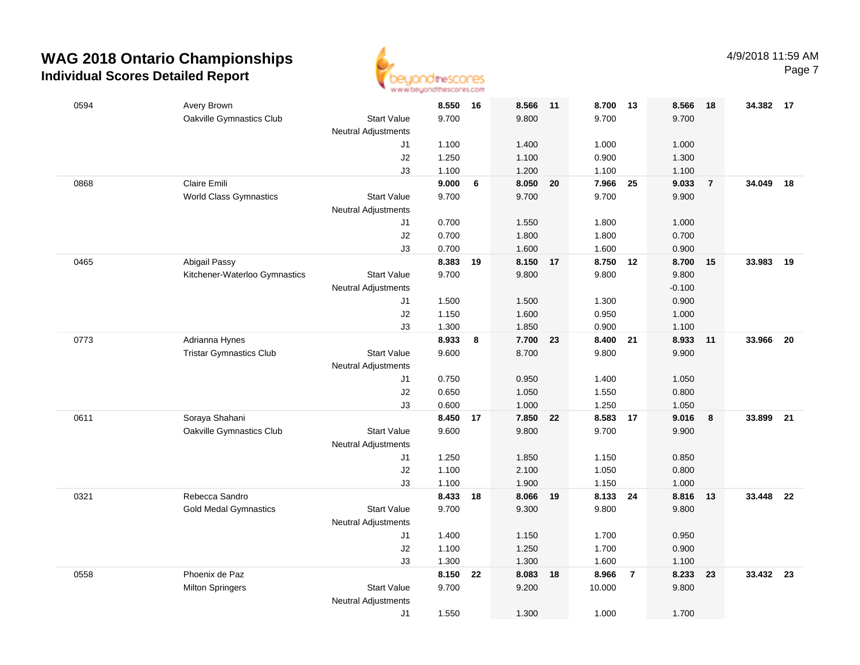

| 0594 | Avery Brown                    |                            | 8.550          | 16 | 8.566          | 11 | 8.700 13       |                | 8.566          | - 18           | 34.382 17 |      |
|------|--------------------------------|----------------------------|----------------|----|----------------|----|----------------|----------------|----------------|----------------|-----------|------|
|      | Oakville Gymnastics Club       | <b>Start Value</b>         | 9.700          |    | 9.800          |    | 9.700          |                | 9.700          |                |           |      |
|      |                                | <b>Neutral Adjustments</b> |                |    |                |    |                |                |                |                |           |      |
|      |                                | J1                         | 1.100          |    | 1.400          |    | 1.000          |                | 1.000          |                |           |      |
|      |                                | J2                         | 1.250          |    | 1.100          |    | 0.900          |                | 1.300          |                |           |      |
|      |                                | J3                         | 1.100          |    | 1.200          |    | 1.100          |                | 1.100          |                |           |      |
| 0868 | Claire Emili                   |                            | 9.000          | 6  | 8.050          | 20 | 7.966          | - 25           | 9.033          | $\overline{7}$ | 34.049    | 18   |
|      | <b>World Class Gymnastics</b>  | <b>Start Value</b>         | 9.700          |    | 9.700          |    | 9.700          |                | 9.900          |                |           |      |
|      |                                | <b>Neutral Adjustments</b> |                |    |                |    |                |                |                |                |           |      |
|      |                                | J1                         | 0.700          |    | 1.550          |    | 1.800          |                | 1.000          |                |           |      |
|      |                                | J2                         | 0.700          |    | 1.800          |    | 1.800          |                | 0.700          |                |           |      |
| 0465 | Abigail Passy                  | J3                         | 0.700<br>8.383 | 19 | 1.600<br>8.150 | 17 | 1.600<br>8.750 | 12             | 0.900<br>8.700 | 15             | 33.983    | - 19 |
|      | Kitchener-Waterloo Gymnastics  | <b>Start Value</b>         | 9.700          |    | 9.800          |    | 9.800          |                | 9.800          |                |           |      |
|      |                                | <b>Neutral Adjustments</b> |                |    |                |    |                |                | $-0.100$       |                |           |      |
|      |                                | J1                         | 1.500          |    | 1.500          |    | 1.300          |                | 0.900          |                |           |      |
|      |                                | J2                         | 1.150          |    | 1.600          |    | 0.950          |                | 1.000          |                |           |      |
|      |                                | J3                         | 1.300          |    | 1.850          |    | 0.900          |                | 1.100          |                |           |      |
| 0773 | Adrianna Hynes                 |                            | 8.933          | 8  | 7.700 23       |    | 8.400 21       |                | 8.933          | 11             | 33.966 20 |      |
|      | <b>Tristar Gymnastics Club</b> | <b>Start Value</b>         | 9.600          |    | 8.700          |    | 9.800          |                | 9.900          |                |           |      |
|      |                                | <b>Neutral Adjustments</b> |                |    |                |    |                |                |                |                |           |      |
|      |                                | J1                         | 0.750          |    | 0.950          |    | 1.400          |                | 1.050          |                |           |      |
|      |                                | J2                         | 0.650          |    | 1.050          |    | 1.550          |                | 0.800          |                |           |      |
|      |                                | J3                         | 0.600          |    | 1.000          |    | 1.250          |                | 1.050          |                |           |      |
| 0611 | Soraya Shahani                 |                            | 8.450          | 17 | 7.850          | 22 | 8.583          | 17             | 9.016          | 8              | 33.899    | 21   |
|      | Oakville Gymnastics Club       | <b>Start Value</b>         | 9.600          |    | 9.800          |    | 9.700          |                | 9.900          |                |           |      |
|      |                                | <b>Neutral Adjustments</b> |                |    |                |    |                |                |                |                |           |      |
|      |                                | J1                         | 1.250          |    | 1.850          |    | 1.150          |                | 0.850          |                |           |      |
|      |                                | J2                         | 1.100          |    | 2.100          |    | 1.050          |                | 0.800          |                |           |      |
|      |                                | J3                         | 1.100          |    | 1.900          |    | 1.150          |                | 1.000          |                |           |      |
| 0321 | Rebecca Sandro                 |                            | 8.433 18       |    | 8.066          | 19 | 8.133 24       |                | 8.816          | 13             | 33.448 22 |      |
|      | <b>Gold Medal Gymnastics</b>   | <b>Start Value</b>         | 9.700          |    | 9.300          |    | 9.800          |                | 9.800          |                |           |      |
|      |                                | <b>Neutral Adjustments</b> |                |    |                |    |                |                |                |                |           |      |
|      |                                | J1                         | 1.400          |    | 1.150          |    | 1.700          |                | 0.950          |                |           |      |
|      |                                | J2                         | 1.100          |    | 1.250          |    | 1.700          |                | 0.900          |                |           |      |
|      |                                | J3                         | 1.300          |    | 1.300          |    | 1.600          |                | 1.100          |                |           |      |
| 0558 | Phoenix de Paz                 |                            | 8.150          | 22 | 8.083          | 18 | 8.966          | $\overline{7}$ | 8.233          | 23             | 33.432 23 |      |
|      | <b>Milton Springers</b>        | <b>Start Value</b>         | 9.700          |    | 9.200          |    | 10.000         |                | 9.800          |                |           |      |
|      |                                | <b>Neutral Adjustments</b> |                |    |                |    |                |                |                |                |           |      |
|      |                                | J1                         | 1.550          |    | 1.300          |    | 1.000          |                | 1.700          |                |           |      |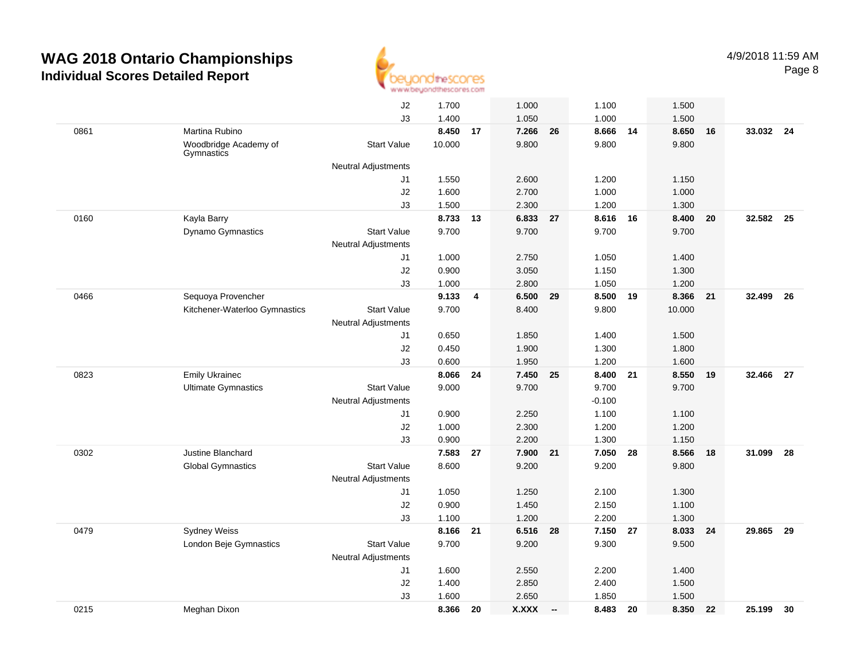

|      |                                     | J2                         | 1.700          |                | 1.000          |        | 1.100          |    | 1.500          |    |           |    |
|------|-------------------------------------|----------------------------|----------------|----------------|----------------|--------|----------------|----|----------------|----|-----------|----|
|      |                                     | J3                         | 1.400          |                | 1.050          |        | 1.000          |    | 1.500          |    |           |    |
| 0861 | Martina Rubino                      |                            | 8.450          | 17             | 7.266          | 26     | 8.666          | 14 | 8.650          | 16 | 33.032 24 |    |
|      | Woodbridge Academy of<br>Gymnastics | <b>Start Value</b>         | 10.000         |                | 9.800          |        | 9.800          |    | 9.800          |    |           |    |
|      |                                     | <b>Neutral Adjustments</b> |                |                |                |        |                |    |                |    |           |    |
|      |                                     | J1                         | 1.550          |                | 2.600          |        | 1.200          |    | 1.150          |    |           |    |
|      |                                     | J2                         | 1.600          |                | 2.700          |        | 1.000          |    | 1.000          |    |           |    |
|      |                                     | J3                         | 1.500          |                | 2.300          |        | 1.200          |    | 1.300          |    |           |    |
| 0160 | Kayla Barry                         |                            | 8.733          | 13             | 6.833 27       |        | 8.616          | 16 | 8.400          | 20 | 32.582    | 25 |
|      | Dynamo Gymnastics                   | <b>Start Value</b>         | 9.700          |                | 9.700          |        | 9.700          |    | 9.700          |    |           |    |
|      |                                     | Neutral Adjustments        |                |                |                |        |                |    |                |    |           |    |
|      |                                     | J1                         | 1.000          |                | 2.750          |        | 1.050          |    | 1.400          |    |           |    |
|      |                                     | J2                         | 0.900          |                | 3.050          |        | 1.150          |    | 1.300          |    |           |    |
|      |                                     | J3                         | 1.000          |                | 2.800          |        | 1.050          |    | 1.200          |    |           |    |
| 0466 | Sequoya Provencher                  |                            | 9.133          | $\overline{4}$ | 6.500          | 29     | 8.500          | 19 | 8.366          | 21 | 32.499    | 26 |
|      | Kitchener-Waterloo Gymnastics       | <b>Start Value</b>         | 9.700          |                | 8.400          |        | 9.800          |    | 10.000         |    |           |    |
|      |                                     | <b>Neutral Adjustments</b> |                |                |                |        |                |    |                |    |           |    |
|      |                                     | J1                         | 0.650          |                | 1.850          |        | 1.400          |    | 1.500          |    |           |    |
|      |                                     | J2<br>J3                   | 0.450<br>0.600 |                | 1.900<br>1.950 |        | 1.300<br>1.200 |    | 1.800<br>1.600 |    |           |    |
| 0823 | <b>Emily Ukrainec</b>               |                            | 8.066          | 24             | 7.450          | 25     | 8.400          | 21 | 8.550          | 19 | 32.466    | 27 |
|      | <b>Ultimate Gymnastics</b>          | <b>Start Value</b>         | 9.000          |                | 9.700          |        | 9.700          |    | 9.700          |    |           |    |
|      |                                     | <b>Neutral Adjustments</b> |                |                |                |        | $-0.100$       |    |                |    |           |    |
|      |                                     | J1                         | 0.900          |                | 2.250          |        | 1.100          |    | 1.100          |    |           |    |
|      |                                     | J2                         | 1.000          |                | 2.300          |        | 1.200          |    | 1.200          |    |           |    |
|      |                                     | J3                         | 0.900          |                | 2.200          |        | 1.300          |    | 1.150          |    |           |    |
| 0302 | Justine Blanchard                   |                            | 7.583          | 27             | 7.900          | 21     | 7.050          | 28 | 8.566          | 18 | 31.099    | 28 |
|      | <b>Global Gymnastics</b>            | <b>Start Value</b>         | 8.600          |                | 9.200          |        | 9.200          |    | 9.800          |    |           |    |
|      |                                     | <b>Neutral Adjustments</b> |                |                |                |        |                |    |                |    |           |    |
|      |                                     | J1                         | 1.050          |                | 1.250          |        | 2.100          |    | 1.300          |    |           |    |
|      |                                     | J2                         | 0.900          |                | 1.450          |        | 2.150          |    | 1.100          |    |           |    |
|      |                                     | J3                         | 1.100          |                | 1.200          |        | 2.200          |    | 1.300          |    |           |    |
| 0479 | <b>Sydney Weiss</b>                 |                            | 8.166          | 21             | 6.516          | 28     | 7.150 27       |    | 8.033          | 24 | 29.865    | 29 |
|      | London Beje Gymnastics              | <b>Start Value</b>         | 9.700          |                | 9.200          |        | 9.300          |    | 9.500          |    |           |    |
|      |                                     | <b>Neutral Adjustments</b> |                |                |                |        |                |    |                |    |           |    |
|      |                                     | J1                         | 1.600          |                | 2.550          |        | 2.200          |    | 1.400          |    |           |    |
|      |                                     | $\sf J2$                   | 1.400          |                | 2.850          |        | 2.400          |    | 1.500          |    |           |    |
|      |                                     | J3                         | 1.600          |                | 2.650          |        | 1.850          |    | 1.500          |    |           |    |
| 0215 | Meghan Dixon                        |                            | 8.366          | 20             | <b>X.XXX</b>   | $\sim$ | 8.483          | 20 | 8.350          | 22 | 25.199    | 30 |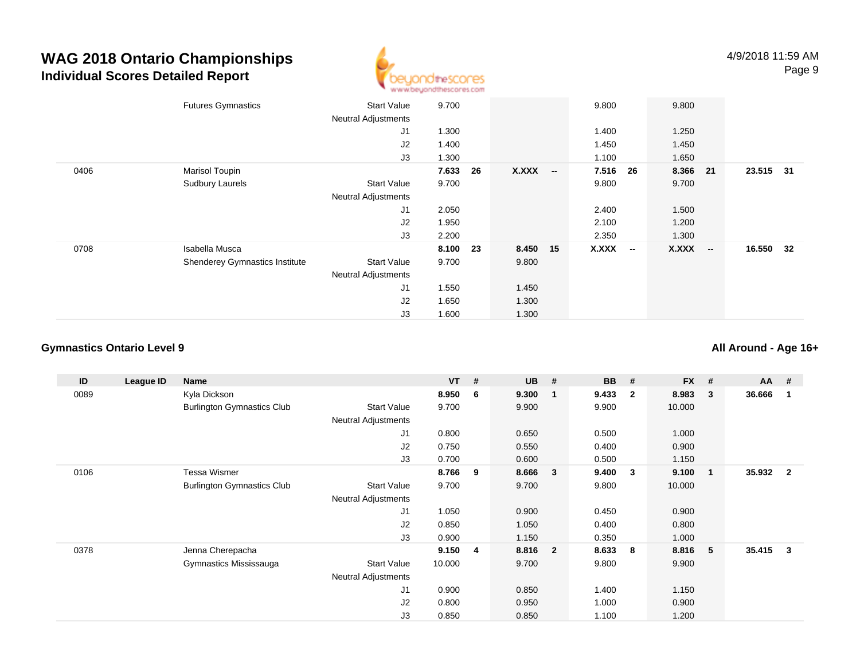

|      | <b>Futures Gymnastics</b>      | <b>Start Value</b><br><b>Neutral Adjustments</b> | 9.700    |    |              |                          | 9.800 | 9.800                  |        |           |    |
|------|--------------------------------|--------------------------------------------------|----------|----|--------------|--------------------------|-------|------------------------|--------|-----------|----|
|      |                                | J1                                               | 1.300    |    |              |                          | 1.400 | 1.250                  |        |           |    |
|      |                                | J2                                               | 1.400    |    |              |                          | 1.450 | 1.450                  |        |           |    |
|      |                                | J3                                               | 1.300    |    |              |                          | 1.100 | 1.650                  |        |           |    |
| 0406 | Marisol Toupin                 |                                                  | 7.633    | 26 | <b>X.XXX</b> | $\overline{\phantom{a}}$ | 7.516 | 8.366<br>26            | 21     | 23.515    | 31 |
|      | Sudbury Laurels                | <b>Start Value</b>                               | 9.700    |    |              |                          | 9.800 | 9.700                  |        |           |    |
|      |                                | <b>Neutral Adjustments</b>                       |          |    |              |                          |       |                        |        |           |    |
|      |                                | J1                                               | 2.050    |    |              |                          | 2.400 | 1.500                  |        |           |    |
|      |                                | J2                                               | 1.950    |    |              |                          | 2.100 | 1.200                  |        |           |    |
|      |                                | J3                                               | 2.200    |    |              |                          | 2.350 | 1.300                  |        |           |    |
| 0708 | Isabella Musca                 |                                                  | 8.100 23 |    | 8.450 15     |                          | X.XXX | <b>X.XXX</b><br>$\sim$ | $\sim$ | 16.550 32 |    |
|      | Shenderey Gymnastics Institute | <b>Start Value</b>                               | 9.700    |    | 9.800        |                          |       |                        |        |           |    |
|      |                                | <b>Neutral Adjustments</b>                       |          |    |              |                          |       |                        |        |           |    |
|      |                                | J1                                               | 1.550    |    | 1.450        |                          |       |                        |        |           |    |
|      |                                | J <sub>2</sub>                                   | 1.650    |    | 1.300        |                          |       |                        |        |           |    |
|      |                                | J3                                               | 1.600    |    | 1.300        |                          |       |                        |        |           |    |

#### **Gymnastics Ontario Level 9**

**All Around - Age 16+**

| ID   | League ID | Name                              |                            | <b>VT</b> | #              | <b>UB</b> | #                       | <b>BB</b> | #                       | <b>FX</b> | # | $AA$ # |                |
|------|-----------|-----------------------------------|----------------------------|-----------|----------------|-----------|-------------------------|-----------|-------------------------|-----------|---|--------|----------------|
| 0089 |           | Kyla Dickson                      |                            | 8.950     | 6              | 9.300     | -1                      | 9.433     | $\overline{\mathbf{2}}$ | 8.983     | 3 | 36.666 |                |
|      |           | <b>Burlington Gymnastics Club</b> | <b>Start Value</b>         | 9.700     |                | 9.900     |                         | 9.900     |                         | 10.000    |   |        |                |
|      |           |                                   | <b>Neutral Adjustments</b> |           |                |           |                         |           |                         |           |   |        |                |
|      |           |                                   | J1                         | 0.800     |                | 0.650     |                         | 0.500     |                         | 1.000     |   |        |                |
|      |           |                                   | J2                         | 0.750     |                | 0.550     |                         | 0.400     |                         | 0.900     |   |        |                |
|      |           |                                   | J3                         | 0.700     |                | 0.600     |                         | 0.500     |                         | 1.150     |   |        |                |
| 0106 |           | <b>Tessa Wismer</b>               |                            | 8.766     | 9              | 8.666     | $\overline{\mathbf{3}}$ | 9.400     | -3                      | 9.100     | 1 | 35.932 | $\overline{2}$ |
|      |           | <b>Burlington Gymnastics Club</b> | <b>Start Value</b>         | 9.700     |                | 9.700     |                         | 9.800     |                         | 10.000    |   |        |                |
|      |           |                                   | <b>Neutral Adjustments</b> |           |                |           |                         |           |                         |           |   |        |                |
|      |           |                                   | J1                         | 1.050     |                | 0.900     |                         | 0.450     |                         | 0.900     |   |        |                |
|      |           |                                   | J2                         | 0.850     |                | 1.050     |                         | 0.400     |                         | 0.800     |   |        |                |
|      |           |                                   | J3                         | 0.900     |                | 1.150     |                         | 0.350     |                         | 1.000     |   |        |                |
| 0378 |           | Jenna Cherepacha                  |                            | 9.150     | $\overline{4}$ | 8.816     | $\overline{\mathbf{2}}$ | 8.633     | -8                      | 8.816     | 5 | 35.415 | $\mathbf{3}$   |
|      |           | Gymnastics Mississauga            | <b>Start Value</b>         | 10.000    |                | 9.700     |                         | 9.800     |                         | 9.900     |   |        |                |
|      |           |                                   | <b>Neutral Adjustments</b> |           |                |           |                         |           |                         |           |   |        |                |
|      |           |                                   | J1                         | 0.900     |                | 0.850     |                         | 1.400     |                         | 1.150     |   |        |                |
|      |           |                                   | J2                         | 0.800     |                | 0.950     |                         | 1.000     |                         | 0.900     |   |        |                |
|      |           |                                   | J3                         | 0.850     |                | 0.850     |                         | 1.100     |                         | 1.200     |   |        |                |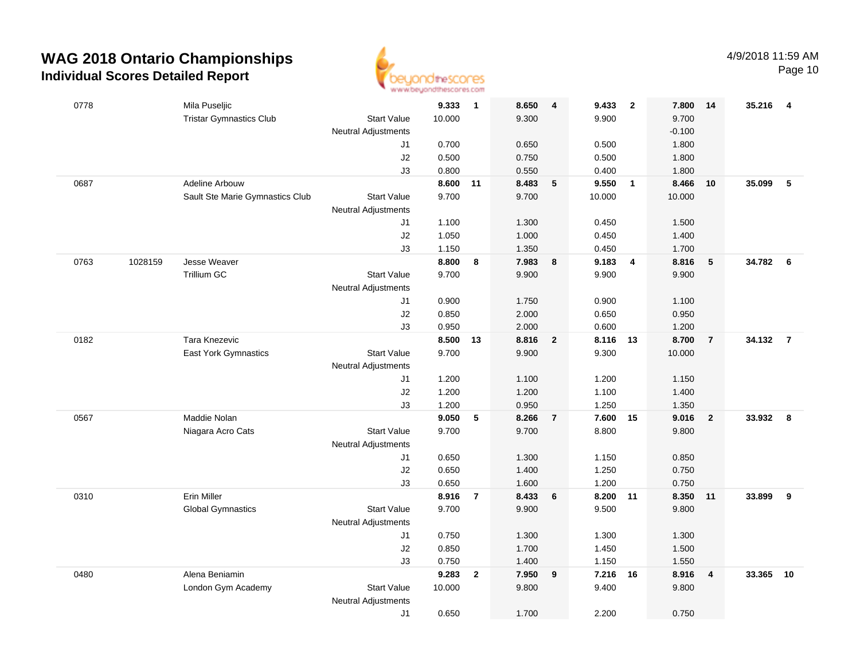

Page 10

| 0778 |         | Mila Puseljic                   |                            | 9.333          | $\overline{1}$ | 8.650          | 4                       | 9.433          | $\overline{\mathbf{2}}$ | 7.800          | -14            | 35.216   | $\overline{4}$ |
|------|---------|---------------------------------|----------------------------|----------------|----------------|----------------|-------------------------|----------------|-------------------------|----------------|----------------|----------|----------------|
|      |         | <b>Tristar Gymnastics Club</b>  | <b>Start Value</b>         | 10.000         |                | 9.300          |                         | 9.900          |                         | 9.700          |                |          |                |
|      |         |                                 | <b>Neutral Adjustments</b> |                |                |                |                         |                |                         | $-0.100$       |                |          |                |
|      |         |                                 | J1                         | 0.700          |                | 0.650          |                         | 0.500          |                         | 1.800          |                |          |                |
|      |         |                                 | J2                         | 0.500          |                | 0.750          |                         | 0.500          |                         | 1.800          |                |          |                |
|      |         |                                 | J3                         | 0.800          |                | 0.550          |                         | 0.400          |                         | 1.800          |                |          |                |
| 0687 |         | Adeline Arbouw                  |                            | 8.600          | 11             | 8.483          | $\sqrt{5}$              | 9.550          | $\overline{\mathbf{1}}$ | 8.466          | 10             | 35.099   | $\sqrt{5}$     |
|      |         | Sault Ste Marie Gymnastics Club | <b>Start Value</b>         | 9.700          |                | 9.700          |                         | 10.000         |                         | 10.000         |                |          |                |
|      |         |                                 | Neutral Adjustments        | 1.100          |                |                |                         |                |                         |                |                |          |                |
|      |         |                                 | J1<br>J2                   | 1.050          |                | 1.300<br>1.000 |                         | 0.450<br>0.450 |                         | 1.500<br>1.400 |                |          |                |
|      |         |                                 | J3                         | 1.150          |                | 1.350          |                         | 0.450          |                         | 1.700          |                |          |                |
| 0763 | 1028159 | Jesse Weaver                    |                            | 8.800          | 8              | 7.983          | 8                       | 9.183          | $\overline{4}$          | 8.816          | 5              | 34.782 6 |                |
|      |         | Trillium GC                     | Start Value                | 9.700          |                | 9.900          |                         | 9.900          |                         | 9.900          |                |          |                |
|      |         |                                 | Neutral Adjustments        |                |                |                |                         |                |                         |                |                |          |                |
|      |         |                                 | J1                         | 0.900          |                | 1.750          |                         | 0.900          |                         | 1.100          |                |          |                |
|      |         |                                 | J2                         | 0.850          |                | 2.000          |                         | 0.650          |                         | 0.950          |                |          |                |
|      |         |                                 | J3                         | 0.950          |                | 2.000          |                         | 0.600          |                         | 1.200          |                |          |                |
| 0182 |         | <b>Tara Knezevic</b>            |                            | 8.500          | 13             | 8.816          | $\overline{\mathbf{2}}$ | 8.116 13       |                         | 8.700          | $\overline{7}$ | 34.132   | $\overline{7}$ |
|      |         | <b>East York Gymnastics</b>     | <b>Start Value</b>         | 9.700          |                | 9.900          |                         | 9.300          |                         | 10.000         |                |          |                |
|      |         |                                 | <b>Neutral Adjustments</b> |                |                |                |                         |                |                         |                |                |          |                |
|      |         |                                 | J1                         | 1.200          |                | 1.100          |                         | 1.200          |                         | 1.150          |                |          |                |
|      |         |                                 | J2                         | 1.200          |                | 1.200          |                         | 1.100          |                         | 1.400          |                |          |                |
|      |         |                                 | J3                         | 1.200          |                | 0.950          |                         | 1.250          |                         | 1.350          |                |          |                |
| 0567 |         | Maddie Nolan                    |                            | 9.050          | 5              | 8.266          | $\overline{7}$          | 7.600          | 15                      | 9.016          | $\overline{2}$ | 33.932   | 8              |
|      |         | Niagara Acro Cats               | <b>Start Value</b>         | 9.700          |                | 9.700          |                         | 8.800          |                         | 9.800          |                |          |                |
|      |         |                                 | Neutral Adjustments        |                |                |                |                         |                |                         |                |                |          |                |
|      |         |                                 | J1                         | 0.650          |                | 1.300          |                         | 1.150          |                         | 0.850          |                |          |                |
|      |         |                                 | $\sf J2$<br>J3             | 0.650<br>0.650 |                | 1.400<br>1.600 |                         | 1.250<br>1.200 |                         | 0.750<br>0.750 |                |          |                |
| 0310 |         | Erin Miller                     |                            | 8.916          | $\overline{7}$ | 8.433          | 6                       | 8.200          | 11                      | 8.350          | 11             | 33.899   | 9              |
|      |         | <b>Global Gymnastics</b>        | <b>Start Value</b>         | 9.700          |                | 9.900          |                         | 9.500          |                         | 9.800          |                |          |                |
|      |         |                                 | <b>Neutral Adjustments</b> |                |                |                |                         |                |                         |                |                |          |                |
|      |         |                                 | J1                         | 0.750          |                | 1.300          |                         | 1.300          |                         | 1.300          |                |          |                |
|      |         |                                 | J2                         | 0.850          |                | 1.700          |                         | 1.450          |                         | 1.500          |                |          |                |
|      |         |                                 | J3                         | 0.750          |                | 1.400          |                         | 1.150          |                         | 1.550          |                |          |                |
| 0480 |         | Alena Beniamin                  |                            | 9.283          | $\mathbf{2}$   | 7.950          | 9                       | 7.216          | 16                      | 8.916          | $\overline{4}$ | 33.365   | 10             |
|      |         | London Gym Academy              | <b>Start Value</b>         | 10.000         |                | 9.800          |                         | 9.400          |                         | 9.800          |                |          |                |
|      |         |                                 | <b>Neutral Adjustments</b> |                |                |                |                         |                |                         |                |                |          |                |
|      |         |                                 | J1                         | 0.650          |                | 1.700          |                         | 2.200          |                         | 0.750          |                |          |                |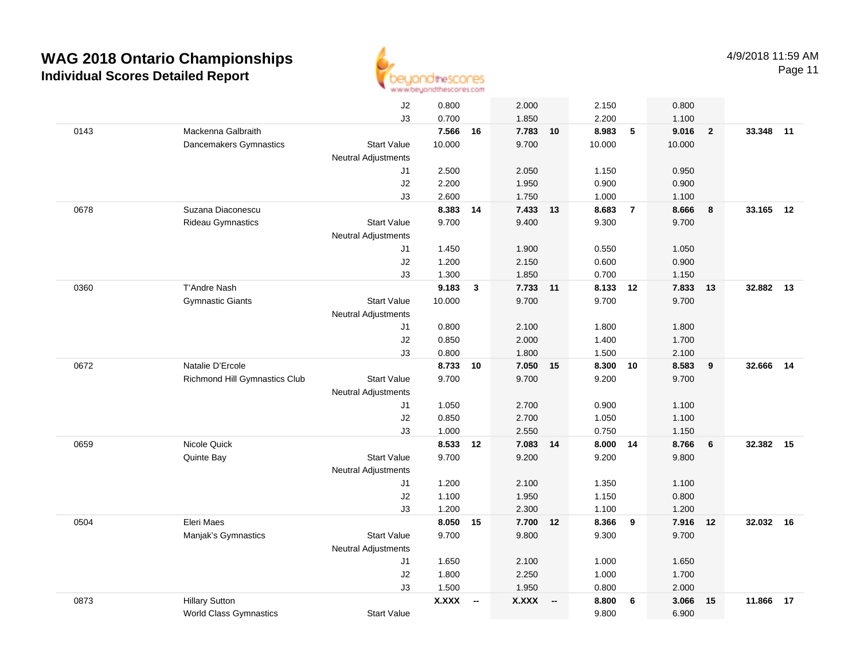

Page 11

|      |                               | J2                               | 0.800          |                          | 2.000          |                          | 2.150          |                | 0.800             |                |           |    |
|------|-------------------------------|----------------------------------|----------------|--------------------------|----------------|--------------------------|----------------|----------------|-------------------|----------------|-----------|----|
|      |                               | J3                               | 0.700          |                          | 1.850          |                          | 2.200          |                | 1.100             |                |           |    |
| 0143 | Mackenna Galbraith            |                                  | 7.566          | 16                       | 7.783          | 10                       | 8.983          | 5              | 9.016             | $\overline{2}$ | 33.348    | 11 |
|      | Dancemakers Gymnastics        | <b>Start Value</b>               | 10.000         |                          | 9.700          |                          | 10.000         |                | 10.000            |                |           |    |
|      |                               | <b>Neutral Adjustments</b>       |                |                          |                |                          |                |                |                   |                |           |    |
|      |                               | J1                               | 2.500          |                          | 2.050          |                          | 1.150          |                | 0.950             |                |           |    |
|      |                               | J2                               | 2.200          |                          | 1.950          |                          | 0.900          |                | 0.900             |                |           |    |
|      |                               | J3                               | 2.600          |                          | 1.750          |                          | 1.000          |                | 1.100             |                |           |    |
| 0678 | Suzana Diaconescu             |                                  | 8.383          | 14                       | 7.433          | 13                       | 8.683          | $\overline{7}$ | 8.666             | 8              | 33.165 12 |    |
|      | Rideau Gymnastics             | <b>Start Value</b>               | 9.700          |                          | 9.400          |                          | 9.300          |                | 9.700             |                |           |    |
|      |                               | <b>Neutral Adjustments</b>       |                |                          |                |                          |                |                |                   |                |           |    |
|      |                               | J1                               | 1.450          |                          | 1.900          |                          | 0.550          |                | 1.050             |                |           |    |
|      |                               | J2                               | 1.200          |                          | 2.150          |                          | 0.600          |                | 0.900             |                |           |    |
|      |                               | J3                               | 1.300          |                          | 1.850          |                          | 0.700          |                | 1.150             |                |           |    |
| 0360 | <b>T'Andre Nash</b>           |                                  | 9.183          | 3                        | 7.733 11       |                          | 8.133 12       |                | 7.833 13          |                | 32.882 13 |    |
|      | <b>Gymnastic Giants</b>       | <b>Start Value</b>               | 10.000         |                          | 9.700          |                          | 9.700          |                | 9.700             |                |           |    |
|      |                               | <b>Neutral Adjustments</b>       |                |                          |                |                          |                |                |                   |                |           |    |
|      |                               | J1                               | 0.800          |                          | 2.100          |                          | 1.800          |                | 1.800             |                |           |    |
|      |                               | J2                               | 0.850          |                          | 2.000          |                          | 1.400          |                | 1.700             |                |           |    |
|      |                               | J3                               | 0.800          |                          | 1.800          |                          | 1.500          |                | 2.100             |                |           |    |
| 0672 | Natalie D'Ercole              |                                  | 8.733          | 10                       | 7.050          | 15                       | 8.300          | 10             | 8.583             | 9              | 32.666    | 14 |
|      | Richmond Hill Gymnastics Club | <b>Start Value</b>               | 9.700          |                          | 9.700          |                          | 9.200          |                | 9.700             |                |           |    |
|      |                               | <b>Neutral Adjustments</b>       |                |                          |                |                          |                |                |                   |                |           |    |
|      |                               | J1                               | 1.050          |                          | 2.700          |                          | 0.900          |                | 1.100             |                |           |    |
|      |                               | J2                               | 0.850          |                          | 2.700          |                          | 1.050          |                | 1.100             |                |           |    |
|      |                               | J3                               | 1.000          |                          | 2.550          |                          | 0.750          |                | 1.150             |                |           |    |
| 0659 | Nicole Quick                  |                                  | 8.533          | 12                       | 7.083 14       |                          | 8.000 14       |                | 8.766             | 6              | 32.382    | 15 |
|      | Quinte Bay                    | <b>Start Value</b>               | 9.700          |                          | 9.200          |                          | 9.200          |                | 9.800             |                |           |    |
|      |                               | <b>Neutral Adjustments</b>       |                |                          |                |                          |                |                |                   |                |           |    |
|      |                               | J1                               | 1.200          |                          | 2.100          |                          | 1.350          |                | 1.100             |                |           |    |
|      |                               | J2                               | 1.100          |                          | 1.950          |                          | 1.150          |                | 0.800             |                |           |    |
|      | Eleri Maes                    | J3                               | 1.200<br>8.050 |                          | 2.300<br>7.700 |                          | 1.100          |                | 1.200<br>7.916 12 |                |           |    |
| 0504 |                               | <b>Start Value</b>               | 9.700          | 15                       | 9.800          | 12                       | 8.366<br>9.300 | 9              | 9.700             |                | 32.032 16 |    |
|      | Manjak's Gymnastics           |                                  |                |                          |                |                          |                |                |                   |                |           |    |
|      |                               | <b>Neutral Adjustments</b><br>J1 | 1.650          |                          | 2.100          |                          | 1.000          |                | 1.650             |                |           |    |
|      |                               |                                  |                |                          |                |                          |                |                |                   |                |           |    |
|      |                               | J2<br>J3                         | 1.800<br>1.500 |                          | 2.250<br>1.950 |                          | 1.000<br>0.800 |                | 1.700<br>2.000    |                |           |    |
| 0873 | <b>Hillary Sutton</b>         |                                  | <b>X.XXX</b>   | $\overline{\phantom{a}}$ | <b>X.XXX</b>   | $\overline{\phantom{a}}$ | 8.800          | 6              | 3.066             | 15             | 11.866    | 17 |
|      | <b>World Class Gymnastics</b> | <b>Start Value</b>               |                |                          |                |                          | 9.800          |                | 6.900             |                |           |    |
|      |                               |                                  |                |                          |                |                          |                |                |                   |                |           |    |